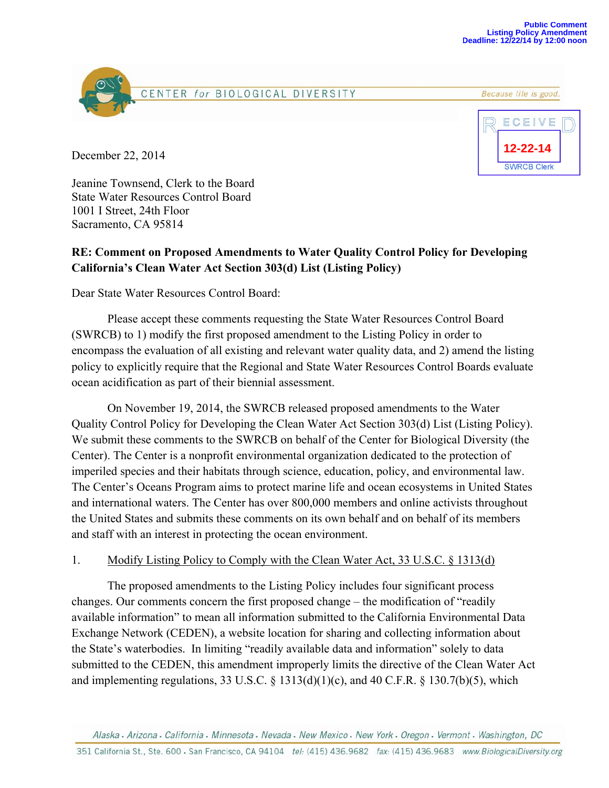





December 22, 2014

Jeanine Townsend, Clerk to the Board State Water Resources Control Board 1001 I Street, 24th Floor Sacramento, CA 95814

## **RE: Comment on Proposed Amendments to Water Quality Control Policy for Developing California's Clean Water Act Section 303(d) List (Listing Policy)**

Dear State Water Resources Control Board:

 Please accept these comments requesting the State Water Resources Control Board (SWRCB) to 1) modify the first proposed amendment to the Listing Policy in order to encompass the evaluation of all existing and relevant water quality data, and 2) amend the listing policy to explicitly require that the Regional and State Water Resources Control Boards evaluate ocean acidification as part of their biennial assessment.

 On November 19, 2014, the SWRCB released proposed amendments to the Water Quality Control Policy for Developing the Clean Water Act Section 303(d) List (Listing Policy). We submit these comments to the SWRCB on behalf of the Center for Biological Diversity (the Center). The Center is a nonprofit environmental organization dedicated to the protection of imperiled species and their habitats through science, education, policy, and environmental law. The Center's Oceans Program aims to protect marine life and ocean ecosystems in United States and international waters. The Center has over 800,000 members and online activists throughout the United States and submits these comments on its own behalf and on behalf of its members and staff with an interest in protecting the ocean environment.

## 1. Modify Listing Policy to Comply with the Clean Water Act, 33 U.S.C. § 1313(d)

 The proposed amendments to the Listing Policy includes four significant process changes. Our comments concern the first proposed change – the modification of "readily available information" to mean all information submitted to the California Environmental Data Exchange Network (CEDEN), a website location for sharing and collecting information about the State's waterbodies. In limiting "readily available data and information" solely to data submitted to the CEDEN, this amendment improperly limits the directive of the Clean Water Act and implementing regulations, 33 U.S.C. § 1313(d)(1)(c), and 40 C.F.R. § 130.7(b)(5), which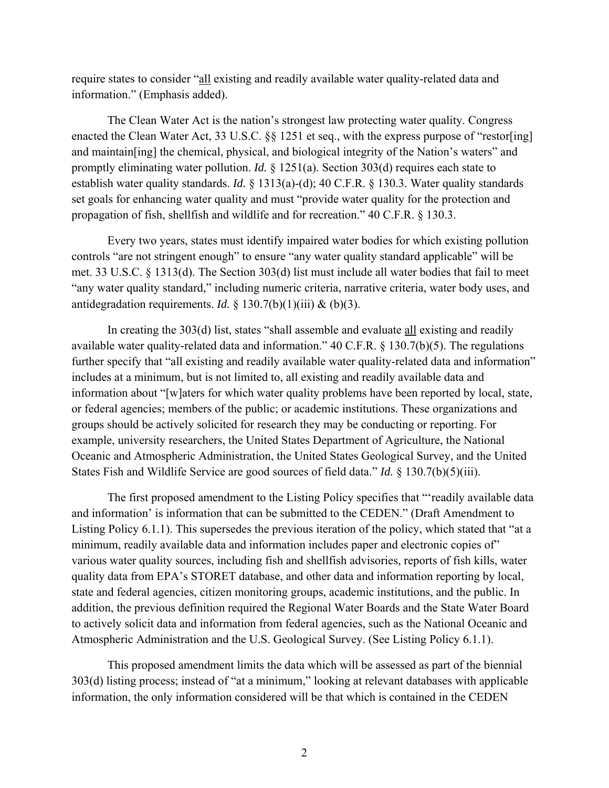require states to consider "all existing and readily available water quality-related data and information." (Emphasis added).

 The Clean Water Act is the nation's strongest law protecting water quality. Congress enacted the Clean Water Act, 33 U.S.C. §§ 1251 et seq., with the express purpose of "restor[ing] and maintain[ing] the chemical, physical, and biological integrity of the Nation's waters" and promptly eliminating water pollution. *Id.* § 1251(a). Section 303(d) requires each state to establish water quality standards. *Id.* § 1313(a)-(d); 40 C.F.R. § 130.3. Water quality standards set goals for enhancing water quality and must "provide water quality for the protection and propagation of fish, shellfish and wildlife and for recreation." 40 C.F.R. § 130.3.

 Every two years, states must identify impaired water bodies for which existing pollution controls "are not stringent enough" to ensure "any water quality standard applicable" will be met. 33 U.S.C. § 1313(d). The Section 303(d) list must include all water bodies that fail to meet "any water quality standard," including numeric criteria, narrative criteria, water body uses, and antidegradation requirements. *Id.* § 130.7(b)(1)(iii) & (b)(3).

 In creating the 303(d) list, states "shall assemble and evaluate all existing and readily available water quality-related data and information." 40 C.F.R. § 130.7(b)(5). The regulations further specify that "all existing and readily available water quality-related data and information" includes at a minimum, but is not limited to, all existing and readily available data and information about "[w]aters for which water quality problems have been reported by local, state, or federal agencies; members of the public; or academic institutions. These organizations and groups should be actively solicited for research they may be conducting or reporting. For example, university researchers, the United States Department of Agriculture, the National Oceanic and Atmospheric Administration, the United States Geological Survey, and the United States Fish and Wildlife Service are good sources of field data." *Id.* § 130.7(b)(5)(iii).

 The first proposed amendment to the Listing Policy specifies that "'readily available data and information' is information that can be submitted to the CEDEN." (Draft Amendment to Listing Policy 6.1.1). This supersedes the previous iteration of the policy, which stated that "at a minimum, readily available data and information includes paper and electronic copies of" various water quality sources, including fish and shellfish advisories, reports of fish kills, water quality data from EPA's STORET database, and other data and information reporting by local, state and federal agencies, citizen monitoring groups, academic institutions, and the public. In addition, the previous definition required the Regional Water Boards and the State Water Board to actively solicit data and information from federal agencies, such as the National Oceanic and Atmospheric Administration and the U.S. Geological Survey. (See Listing Policy 6.1.1).

 This proposed amendment limits the data which will be assessed as part of the biennial 303(d) listing process; instead of "at a minimum," looking at relevant databases with applicable information, the only information considered will be that which is contained in the CEDEN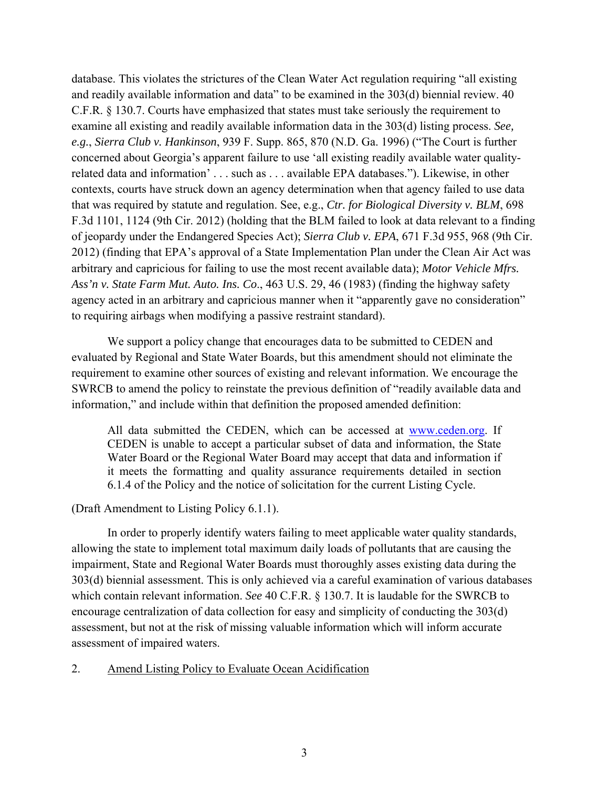database. This violates the strictures of the Clean Water Act regulation requiring "all existing and readily available information and data" to be examined in the 303(d) biennial review. 40 C.F.R. § 130.7. Courts have emphasized that states must take seriously the requirement to examine all existing and readily available information data in the 303(d) listing process. *See, e.g.*, *Sierra Club v. Hankinson*, 939 F. Supp. 865, 870 (N.D. Ga. 1996) ("The Court is further concerned about Georgia's apparent failure to use 'all existing readily available water qualityrelated data and information' . . . such as . . . available EPA databases."). Likewise, in other contexts, courts have struck down an agency determination when that agency failed to use data that was required by statute and regulation. See, e.g., *Ctr. for Biological Diversity v. BLM*, 698 F.3d 1101, 1124 (9th Cir. 2012) (holding that the BLM failed to look at data relevant to a finding of jeopardy under the Endangered Species Act); *Sierra Club v. EPA*, 671 F.3d 955, 968 (9th Cir. 2012) (finding that EPA's approval of a State Implementation Plan under the Clean Air Act was arbitrary and capricious for failing to use the most recent available data); *Motor Vehicle Mfrs. Ass'n v. State Farm Mut. Auto. Ins. Co*., 463 U.S. 29, 46 (1983) (finding the highway safety agency acted in an arbitrary and capricious manner when it "apparently gave no consideration" to requiring airbags when modifying a passive restraint standard).

 We support a policy change that encourages data to be submitted to CEDEN and evaluated by Regional and State Water Boards, but this amendment should not eliminate the requirement to examine other sources of existing and relevant information. We encourage the SWRCB to amend the policy to reinstate the previous definition of "readily available data and information," and include within that definition the proposed amended definition:

All data submitted the CEDEN, which can be accessed at www.ceden.org. If CEDEN is unable to accept a particular subset of data and information, the State Water Board or the Regional Water Board may accept that data and information if it meets the formatting and quality assurance requirements detailed in section 6.1.4 of the Policy and the notice of solicitation for the current Listing Cycle.

(Draft Amendment to Listing Policy 6.1.1).

 In order to properly identify waters failing to meet applicable water quality standards, allowing the state to implement total maximum daily loads of pollutants that are causing the impairment, State and Regional Water Boards must thoroughly asses existing data during the 303(d) biennial assessment. This is only achieved via a careful examination of various databases which contain relevant information. *See* 40 C.F.R. § 130.7. It is laudable for the SWRCB to encourage centralization of data collection for easy and simplicity of conducting the 303(d) assessment, but not at the risk of missing valuable information which will inform accurate assessment of impaired waters.

## 2. Amend Listing Policy to Evaluate Ocean Acidification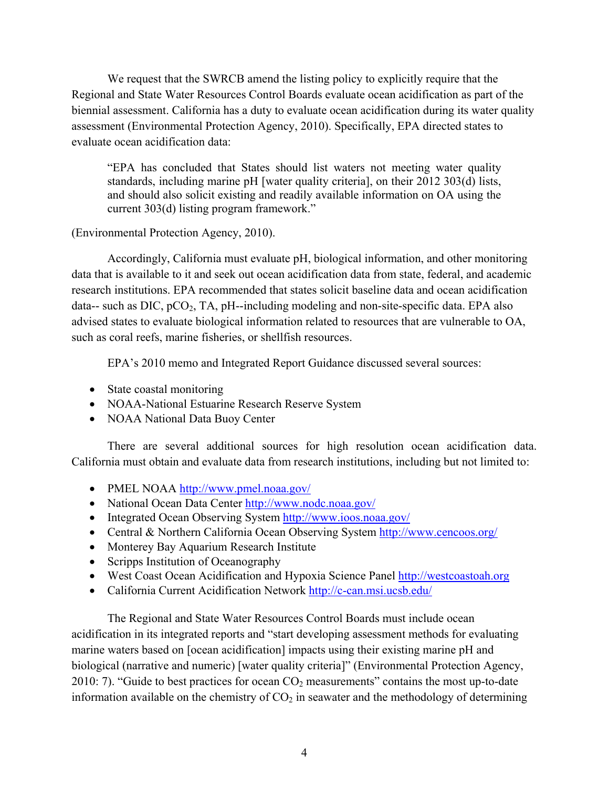We request that the SWRCB amend the listing policy to explicitly require that the Regional and State Water Resources Control Boards evaluate ocean acidification as part of the biennial assessment. California has a duty to evaluate ocean acidification during its water quality assessment (Environmental Protection Agency, 2010). Specifically, EPA directed states to evaluate ocean acidification data:

"EPA has concluded that States should list waters not meeting water quality standards, including marine pH [water quality criteria], on their 2012 303(d) lists, and should also solicit existing and readily available information on OA using the current 303(d) listing program framework."

(Environmental Protection Agency, 2010).

 Accordingly, California must evaluate pH, biological information, and other monitoring data that is available to it and seek out ocean acidification data from state, federal, and academic research institutions. EPA recommended that states solicit baseline data and ocean acidification data-- such as DIC,  $pCO_2$ , TA,  $pH$ --including modeling and non-site-specific data. EPA also advised states to evaluate biological information related to resources that are vulnerable to OA, such as coral reefs, marine fisheries, or shellfish resources.

EPA's 2010 memo and Integrated Report Guidance discussed several sources:

- State coastal monitoring
- NOAA-National Estuarine Research Reserve System
- NOAA National Data Buoy Center

 There are several additional sources for high resolution ocean acidification data. California must obtain and evaluate data from research institutions, including but not limited to:

- PMEL NOAA http://www.pmel.noaa.gov/
- National Ocean Data Center http://www.nodc.noaa.gov/
- Integrated Ocean Observing System http://www.ioos.noaa.gov/
- Central & Northern California Ocean Observing System http://www.cencoos.org/
- Monterey Bay Aquarium Research Institute
- Scripps Institution of Oceanography
- West Coast Ocean Acidification and Hypoxia Science Panel http://westcoastoah.org
- California Current Acidification Network http://c-can.msi.ucsb.edu/

 The Regional and State Water Resources Control Boards must include ocean acidification in its integrated reports and "start developing assessment methods for evaluating marine waters based on [ocean acidification] impacts using their existing marine pH and biological (narrative and numeric) [water quality criteria]" (Environmental Protection Agency, 2010: 7). "Guide to best practices for ocean  $CO<sub>2</sub>$  measurements" contains the most up-to-date information available on the chemistry of  $CO<sub>2</sub>$  in seawater and the methodology of determining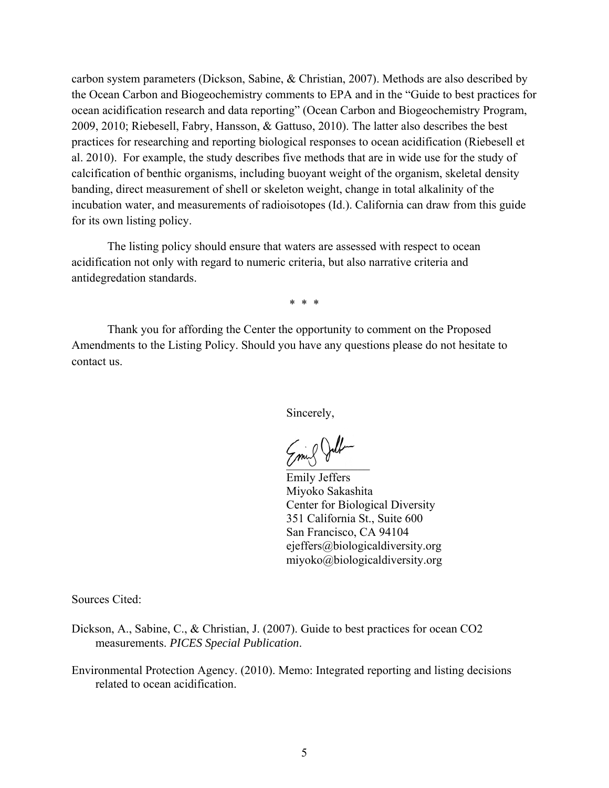carbon system parameters (Dickson, Sabine, & Christian, 2007). Methods are also described by the Ocean Carbon and Biogeochemistry comments to EPA and in the "Guide to best practices for ocean acidification research and data reporting" (Ocean Carbon and Biogeochemistry Program, 2009, 2010; Riebesell, Fabry, Hansson, & Gattuso, 2010). The latter also describes the best practices for researching and reporting biological responses to ocean acidification (Riebesell et al. 2010). For example, the study describes five methods that are in wide use for the study of calcification of benthic organisms, including buoyant weight of the organism, skeletal density banding, direct measurement of shell or skeleton weight, change in total alkalinity of the incubation water, and measurements of radioisotopes (Id.). California can draw from this guide for its own listing policy.

 The listing policy should ensure that waters are assessed with respect to ocean acidification not only with regard to numeric criteria, but also narrative criteria and antidegredation standards.

\* \* \*

 Thank you for affording the Center the opportunity to comment on the Proposed Amendments to the Listing Policy. Should you have any questions please do not hesitate to contact us.

Sincerely,

Emil Julh

Emily Jeffers Miyoko Sakashita Center for Biological Diversity 351 California St., Suite 600 San Francisco, CA 94104 ejeffers@biologicaldiversity.org miyoko@biologicaldiversity.org

Sources Cited:

- Dickson, A., Sabine, C., & Christian, J. (2007). Guide to best practices for ocean CO2 measurements. *PICES Special Publication*.
- Environmental Protection Agency. (2010). Memo: Integrated reporting and listing decisions related to ocean acidification.